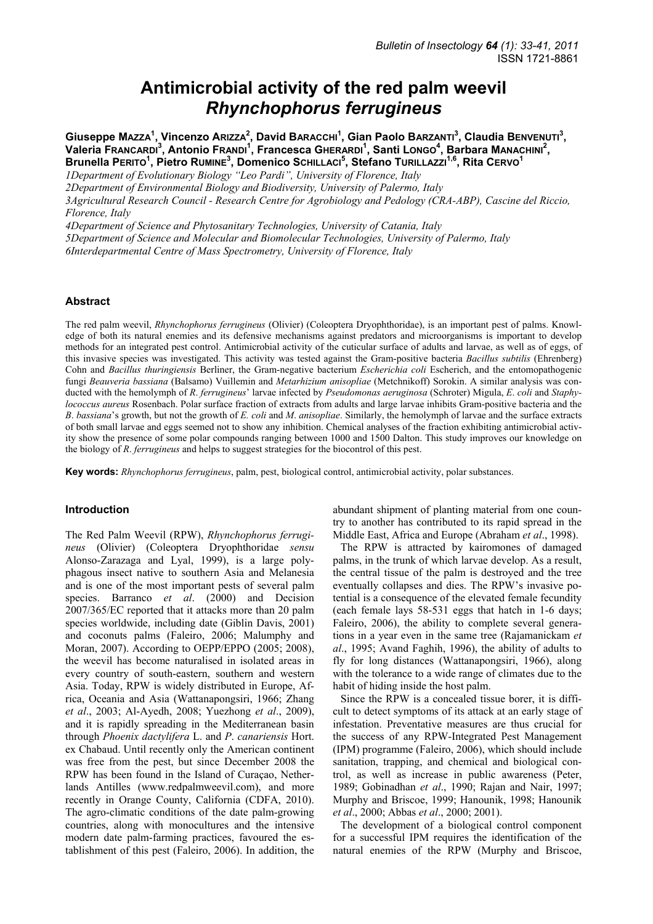# **Antimicrobial activity of the red palm weevil**  *Rhynchophorus ferrugineus*

Giuseppe Mazza<sup>1</sup>, Vincenzo Arizza<sup>2</sup>, David Baracchi<sup>1</sup>, Gian Paolo Barzanti<sup>3</sup>, Claudia BENVENUTI<sup>3</sup>, **Valeria FRANCARDI<sup>3</sup> , Antonio FRANDI<sup>1</sup> , Francesca GHERARDI<sup>1</sup> , Santi LONGO4 , Barbara MANACHINI<sup>2</sup> , Brunella PERITO<sup>1</sup>, Pietro RUMINE<sup>3</sup>, Domenico Schillaci<sup>5</sup>, Stefano Turillazzi<sup>1,6</sup>, Rita CERVO<sup>1</sup>** 

*1Department of Evolutionary Biology "Leo Pardi", University of Florence, Italy* 

*2Department of Environmental Biology and Biodiversity, University of Palermo, Italy* 

*3Agricultural Research Council - Research Centre for Agrobiology and Pedology (CRA-ABP), Cascine del Riccio, Florence, Italy* 

*4Department of Science and Phytosanitary Technologies, University of Catania, Italy* 

*5Department of Science and Molecular and Biomolecular Technologies, University of Palermo, Italy* 

*6Interdepartmental Centre of Mass Spectrometry, University of Florence, Italy* 

#### **Abstract**

The red palm weevil, *Rhynchophorus ferrugineus* (Olivier) (Coleoptera Dryophthoridae), is an important pest of palms. Knowledge of both its natural enemies and its defensive mechanisms against predators and microorganisms is important to develop methods for an integrated pest control. Antimicrobial activity of the cuticular surface of adults and larvae, as well as of eggs, of this invasive species was investigated. This activity was tested against the Gram-positive bacteria *Bacillus subtilis* (Ehrenberg) Cohn and *Bacillus thuringiensis* Berliner, the Gram-negative bacterium *Escherichia coli* Escherich, and the entomopathogenic fungi *Beauveria bassiana* (Balsamo) Vuillemin and *Metarhizium anisopliae* (Metchnikoff) Sorokin. A similar analysis was conducted with the hemolymph of *R*. *ferrugineus*' larvae infected by *Pseudomonas aeruginosa* (Schroter) Migula, *E*. *coli* and *Staphylococcus aureus* Rosenbach. Polar surface fraction of extracts from adults and large larvae inhibits Gram-positive bacteria and the *B*. *bassiana*'s growth, but not the growth of *E. coli* and *M*. *anisopliae*. Similarly, the hemolymph of larvae and the surface extracts of both small larvae and eggs seemed not to show any inhibition. Chemical analyses of the fraction exhibiting antimicrobial activity show the presence of some polar compounds ranging between 1000 and 1500 Dalton. This study improves our knowledge on the biology of *R*. *ferrugineus* and helps to suggest strategies for the biocontrol of this pest.

**Key words:** *Rhynchophorus ferrugineus*, palm, pest, biological control, antimicrobial activity, polar substances.

#### **Introduction**

The Red Palm Weevil (RPW), *Rhynchophorus ferrugineus* (Olivier) (Coleoptera Dryophthoridae *sensu* Alonso-Zarazaga and Lyal, 1999), is a large polyphagous insect native to southern Asia and Melanesia and is one of the most important pests of several palm species. Barranco *et al*. (2000) and Decision 2007/365/EC reported that it attacks more than 20 palm species worldwide, including date (Giblin Davis, 2001) and coconuts palms (Faleiro, 2006; Malumphy and Moran, 2007). According to OEPP/EPPO (2005; 2008), the weevil has become naturalised in isolated areas in every country of south-eastern, southern and western Asia. Today, RPW is widely distributed in Europe, Africa, Oceania and Asia (Wattanapongsiri, 1966; Zhang *et al*., 2003; Al-Ayedh, 2008; Yuezhong *et al*., 2009), and it is rapidly spreading in the Mediterranean basin through *Phoenix dactylifera* L. and *P*. *canariensis* Hort. ex Chabaud. Until recently only the American continent was free from the pest, but since December 2008 the RPW has been found in the Island of Curaçao, Netherlands Antilles (www.redpalmweevil.com), and more recently in Orange County, California (CDFA, 2010). The agro-climatic conditions of the date palm-growing countries, along with monocultures and the intensive modern date palm-farming practices, favoured the establishment of this pest (Faleiro, 2006). In addition, the abundant shipment of planting material from one country to another has contributed to its rapid spread in the Middle East, Africa and Europe (Abraham *et al*., 1998).

The RPW is attracted by kairomones of damaged palms, in the trunk of which larvae develop. As a result, the central tissue of the palm is destroyed and the tree eventually collapses and dies. The RPW's invasive potential is a consequence of the elevated female fecundity (each female lays 58-531 eggs that hatch in 1-6 days; Faleiro, 2006), the ability to complete several generations in a year even in the same tree (Rajamanickam *et al*., 1995; Avand Faghih, 1996), the ability of adults to fly for long distances (Wattanapongsiri, 1966), along with the tolerance to a wide range of climates due to the habit of hiding inside the host palm.

Since the RPW is a concealed tissue borer, it is difficult to detect symptoms of its attack at an early stage of infestation. Preventative measures are thus crucial for the success of any RPW-Integrated Pest Management (IPM) programme (Faleiro, 2006), which should include sanitation, trapping, and chemical and biological control, as well as increase in public awareness (Peter, 1989; Gobinadhan *et al*., 1990; Rajan and Nair, 1997; Murphy and Briscoe, 1999; Hanounik, 1998; Hanounik *et al*., 2000; Abbas *et al*., 2000; 2001).

The development of a biological control component for a successful IPM requires the identification of the natural enemies of the RPW (Murphy and Briscoe,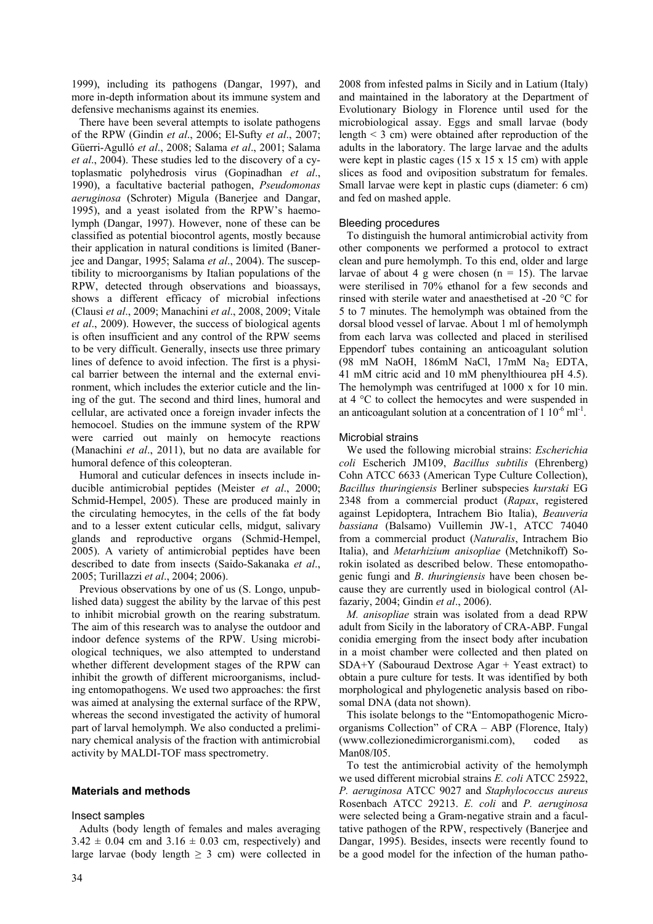1999), including its pathogens (Dangar, 1997), and more in-depth information about its immune system and defensive mechanisms against its enemies.

There have been several attempts to isolate pathogens of the RPW (Gindin *et al*., 2006; El-Sufty *et al*., 2007; Güerri-Agulló *et al*., 2008; Salama *et al*., 2001; Salama *et al*., 2004). These studies led to the discovery of a cytoplasmatic polyhedrosis virus (Gopinadhan *et al*., 1990), a facultative bacterial pathogen, *Pseudomonas aeruginosa* (Schroter) Migula (Banerjee and Dangar, 1995), and a yeast isolated from the RPW's haemolymph (Dangar, 1997). However, none of these can be classified as potential biocontrol agents, mostly because their application in natural conditions is limited (Banerjee and Dangar, 1995; Salama *et al*., 2004). The susceptibility to microorganisms by Italian populations of the RPW, detected through observations and bioassays, shows a different efficacy of microbial infections (Clausi *et al*., 2009; Manachini *et al*., 2008, 2009; Vitale *et al*., 2009). However, the success of biological agents is often insufficient and any control of the RPW seems to be very difficult. Generally, insects use three primary lines of defence to avoid infection. The first is a physical barrier between the internal and the external environment, which includes the exterior cuticle and the lining of the gut. The second and third lines, humoral and cellular, are activated once a foreign invader infects the hemocoel. Studies on the immune system of the RPW were carried out mainly on hemocyte reactions (Manachini *et al*., 2011), but no data are available for humoral defence of this coleopteran.

Humoral and cuticular defences in insects include inducible antimicrobial peptides (Meister *et al*., 2000; Schmid-Hempel, 2005). These are produced mainly in the circulating hemocytes, in the cells of the fat body and to a lesser extent cuticular cells, midgut, salivary glands and reproductive organs (Schmid-Hempel, 2005). A variety of antimicrobial peptides have been described to date from insects (Saido-Sakanaka *et al*., 2005; Turillazzi *et al*., 2004; 2006).

Previous observations by one of us (S. Longo, unpublished data) suggest the ability by the larvae of this pest to inhibit microbial growth on the rearing substratum. The aim of this research was to analyse the outdoor and indoor defence systems of the RPW. Using microbiological techniques, we also attempted to understand whether different development stages of the RPW can inhibit the growth of different microorganisms, including entomopathogens. We used two approaches: the first was aimed at analysing the external surface of the RPW, whereas the second investigated the activity of humoral part of larval hemolymph. We also conducted a preliminary chemical analysis of the fraction with antimicrobial activity by MALDI-TOF mass spectrometry.

## **Materials and methods**

#### Insect samples

Adults (body length of females and males averaging  $3.42 \pm 0.04$  cm and  $3.16 \pm 0.03$  cm, respectively) and large larvae (body length  $\geq$  3 cm) were collected in 2008 from infested palms in Sicily and in Latium (Italy) and maintained in the laboratory at the Department of Evolutionary Biology in Florence until used for the microbiological assay. Eggs and small larvae (body length  $\leq$  3 cm) were obtained after reproduction of the adults in the laboratory. The large larvae and the adults were kept in plastic cages  $(15 \times 15 \times 15 \text{ cm})$  with apple slices as food and oviposition substratum for females. Small larvae were kept in plastic cups (diameter: 6 cm) and fed on mashed apple.

#### Bleeding procedures

To distinguish the humoral antimicrobial activity from other components we performed a protocol to extract clean and pure hemolymph. To this end, older and large larvae of about 4 g were chosen  $(n = 15)$ . The larvae were sterilised in 70% ethanol for a few seconds and rinsed with sterile water and anaesthetised at -20 °C for 5 to 7 minutes. The hemolymph was obtained from the dorsal blood vessel of larvae. About 1 ml of hemolymph from each larva was collected and placed in sterilised Eppendorf tubes containing an anticoagulant solution (98 mM NaOH, 186mM NaCl, 17mM Na<sub>2</sub> EDTA, 41 mM citric acid and 10 mM phenylthiourea pH 4.5). The hemolymph was centrifuged at 1000 x for 10 min. at 4 °C to collect the hemocytes and were suspended in an anticoagulant solution at a concentration of  $1 \times 10^{-6}$  ml<sup>-1</sup>.

#### Microbial strains

We used the following microbial strains: *Escherichia coli* Escherich JM109, *Bacillus subtilis* (Ehrenberg) Cohn ATCC 6633 (American Type Culture Collection), *Bacillus thuringiensis* Berliner subspecies *kurstaki* EG 2348 from a commercial product (*Rapax*, registered against Lepidoptera, Intrachem Bio Italia), *Beauveria bassiana* (Balsamo) Vuillemin JW-1, ATCC 74040 from a commercial product (*Naturalis*, Intrachem Bio Italia), and *Metarhizium anisopliae* (Metchnikoff) Sorokin isolated as described below. These entomopathogenic fungi and *B*. *thuringiensis* have been chosen because they are currently used in biological control (Alfazariy, 2004; Gindin *et al*., 2006).

*M. anisopliae* strain was isolated from a dead RPW adult from Sicily in the laboratory of CRA-ABP. Fungal conidia emerging from the insect body after incubation in a moist chamber were collected and then plated on SDA+Y (Sabouraud Dextrose Agar + Yeast extract) to obtain a pure culture for tests. It was identified by both morphological and phylogenetic analysis based on ribosomal DNA (data not shown).

This isolate belongs to the "Entomopathogenic Microorganisms Collection" of CRA – ABP (Florence, Italy) (www.collezionedimicrorganismi.com), coded as Man08/I05.

To test the antimicrobial activity of the hemolymph we used different microbial strains *E. coli* ATCC 25922, *P. aeruginosa* ATCC 9027 and *Staphylococcus aureus* Rosenbach ATCC 29213. *E. coli* and *P. aeruginosa* were selected being a Gram-negative strain and a facultative pathogen of the RPW, respectively (Banerjee and Dangar, 1995). Besides, insects were recently found to be a good model for the infection of the human patho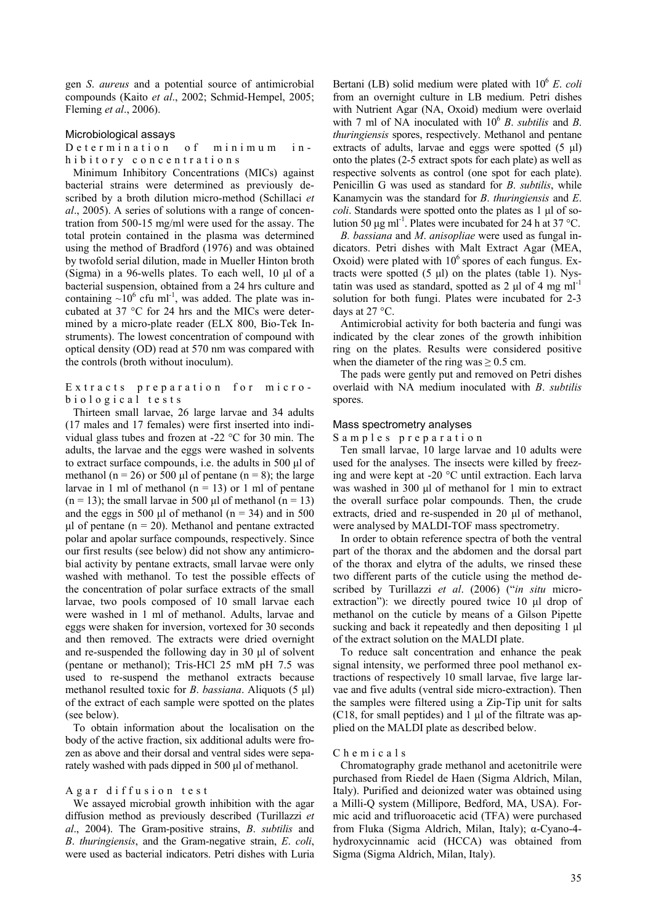gen *S*. *aureus* and a potential source of antimicrobial compounds (Kaito *et al*., 2002; Schmid-Hempel, 2005; Fleming *et al*., 2006).

#### Microbiological assays

Determination of minimum inhibitory concentrations

Minimum Inhibitory Concentrations (MICs) against bacterial strains were determined as previously described by a broth dilution micro-method (Schillaci *et al*., 2005). A series of solutions with a range of concentration from 500-15 mg/ml were used for the assay. The total protein contained in the plasma was determined using the method of Bradford (1976) and was obtained by twofold serial dilution, made in Mueller Hinton broth (Sigma) in a 96-wells plates. To each well, 10 µl of a bacterial suspension, obtained from a 24 hrs culture and containing  $\sim 10^6$  cfu ml<sup>-1</sup>, was added. The plate was incubated at 37 °C for 24 hrs and the MICs were determined by a micro-plate reader (ELX 800, Bio-Tek Instruments). The lowest concentration of compound with optical density (OD) read at 570 nm was compared with the controls (broth without inoculum).

#### Extracts preparation for microbiological tests

Thirteen small larvae, 26 large larvae and 34 adults (17 males and 17 females) were first inserted into individual glass tubes and frozen at -22 °C for 30 min. The adults, the larvae and the eggs were washed in solvents to extract surface compounds, i.e. the adults in 500 µl of methanol (n = 26) or 500  $\mu$ l of pentane (n = 8); the large larvae in 1 ml of methanol  $(n = 13)$  or 1 ml of pentane  $(n = 13)$ ; the small larvae in 500 µl of methanol  $(n = 13)$ and the eggs in 500  $\mu$ l of methanol (n = 34) and in 500  $\mu$ l of pentane (n = 20). Methanol and pentane extracted polar and apolar surface compounds, respectively. Since our first results (see below) did not show any antimicrobial activity by pentane extracts, small larvae were only washed with methanol. To test the possible effects of the concentration of polar surface extracts of the small larvae, two pools composed of 10 small larvae each were washed in 1 ml of methanol. Adults, larvae and eggs were shaken for inversion, vortexed for 30 seconds and then removed. The extracts were dried overnight and re-suspended the following day in 30 µl of solvent (pentane or methanol); Tris-HCl 25 mM pH 7.5 was used to re-suspend the methanol extracts because methanol resulted toxic for *B*. *bassiana*. Aliquots (5 µl) of the extract of each sample were spotted on the plates (see below).

To obtain information about the localisation on the body of the active fraction, six additional adults were frozen as above and their dorsal and ventral sides were separately washed with pads dipped in 500 µl of methanol.

#### Agar diffusion test

We assayed microbial growth inhibition with the agar diffusion method as previously described (Turillazzi *et al*., 2004). The Gram-positive strains, *B*. *subtilis* and *B*. *thuringiensis*, and the Gram-negative strain, *E*. *coli*, were used as bacterial indicators. Petri dishes with Luria Bertani (LB) solid medium were plated with  $10^6$  *E. coli* from an overnight culture in LB medium. Petri dishes with Nutrient Agar (NA, Oxoid) medium were overlaid with 7 ml of NA inoculated with  $10^6$  *B*. *subtilis* and *B*. *thuringiensis* spores, respectively. Methanol and pentane extracts of adults, larvae and eggs were spotted  $(5 \text{ µ})$ onto the plates (2-5 extract spots for each plate) as well as respective solvents as control (one spot for each plate). Penicillin G was used as standard for *B*. *subtilis*, while Kanamycin was the standard for *B*. *thuringiensis* and *E*. *coli*. Standards were spotted onto the plates as 1 µl of solution 50  $\mu$ g ml<sup>-1</sup>. Plates were incubated for 24 h at 37 °C.

*B. bassiana* and *M*. *anisopliae* were used as fungal indicators. Petri dishes with Malt Extract Agar (MEA, Oxoid) were plated with  $10^6$  spores of each fungus. Extracts were spotted  $(5 \text{ ul})$  on the plates (table 1). Nystatin was used as standard, spotted as 2  $\mu$ l of 4 mg ml<sup>-1</sup> solution for both fungi. Plates were incubated for 2-3 days at 27 °C.

Antimicrobial activity for both bacteria and fungi was indicated by the clear zones of the growth inhibition ring on the plates. Results were considered positive when the diameter of the ring was  $\geq 0.5$  cm.

The pads were gently put and removed on Petri dishes overlaid with NA medium inoculated with *B*. *subtilis* spores.

#### Mass spectrometry analyses

Samples preparation

Ten small larvae, 10 large larvae and 10 adults were used for the analyses. The insects were killed by freezing and were kept at -20 °C until extraction. Each larva was washed in 300 µl of methanol for 1 min to extract the overall surface polar compounds. Then, the crude extracts, dried and re-suspended in 20 µl of methanol, were analysed by MALDI-TOF mass spectrometry.

In order to obtain reference spectra of both the ventral part of the thorax and the abdomen and the dorsal part of the thorax and elytra of the adults, we rinsed these two different parts of the cuticle using the method described by Turillazzi *et al*. (2006) ("*in situ* microextraction"): we directly poured twice 10 µl drop of methanol on the cuticle by means of a Gilson Pipette sucking and back it repeatedly and then depositing 1 µl of the extract solution on the MALDI plate.

To reduce salt concentration and enhance the peak signal intensity, we performed three pool methanol extractions of respectively 10 small larvae, five large larvae and five adults (ventral side micro-extraction). Then the samples were filtered using a Zip-Tip unit for salts (C18, for small peptides) and  $1 \mu$ l of the filtrate was applied on the MALDI plate as described below.

#### Chemicals

Chromatography grade methanol and acetonitrile were purchased from Riedel de Haen (Sigma Aldrich, Milan, Italy). Purified and deionized water was obtained using a Milli-Q system (Millipore, Bedford, MA, USA). Formic acid and trifluoroacetic acid (TFA) were purchased from Fluka (Sigma Aldrich, Milan, Italy); α-Cyano-4 hydroxycinnamic acid (HCCA) was obtained from Sigma (Sigma Aldrich, Milan, Italy).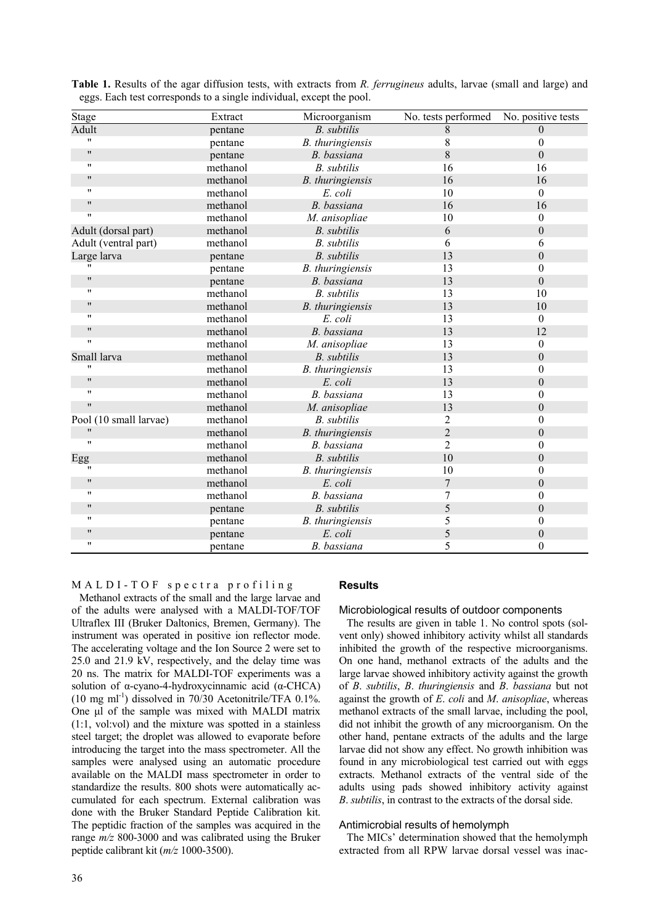| Stage                  | Extract  | Microorganism      | No. tests performed | No. positive tests |
|------------------------|----------|--------------------|---------------------|--------------------|
| Adult                  | pentane  | <b>B.</b> subtilis | 8                   | $\theta$           |
| $\pmb{\mathsf{H}}$     | pentane  | B. thuringiensis   | 8                   | $\boldsymbol{0}$   |
| $\pmb{\mathsf{H}}$     | pentane  | B. bassiana        | 8                   | $\boldsymbol{0}$   |
| $\pmb{\mathsf{H}}$     | methanol | <b>B.</b> subtilis | 16                  | 16                 |
| 11                     | methanol | B. thuringiensis   | 16                  | 16                 |
| $\pmb{\mathsf{H}}$     | methanol | E. coli            | 10                  | $\boldsymbol{0}$   |
| $\pmb{\mathsf{H}}$     | methanol | B. bassiana        | 16                  | 16                 |
| $\pmb{\mathsf{H}}$     | methanol | M. anisopliae      | 10                  | $\boldsymbol{0}$   |
| Adult (dorsal part)    | methanol | <b>B.</b> subtilis | 6                   | $\boldsymbol{0}$   |
| Adult (ventral part)   | methanol | <b>B.</b> subtilis | 6                   | 6                  |
| Large larva            | pentane  | <b>B.</b> subtilis | 13                  | $\overline{0}$     |
|                        | pentane  | B. thuringiensis   | 13                  | $\theta$           |
| $\pmb{\mathsf{H}}$     | pentane  | B. bassiana        | 13                  | $\boldsymbol{0}$   |
| "                      | methanol | <b>B.</b> subtilis | 13                  | 10                 |
| 11                     | methanol | B. thuringiensis   | 13                  | 10                 |
| "                      | methanol | E. coli            | 13                  | $\boldsymbol{0}$   |
| $^{\prime\prime}$      | methanol | B. bassiana        | 13                  | 12                 |
| $\pmb{\mathsf{H}}$     | methanol | M. anisopliae      | 13                  | $\theta$           |
| Small larva            | methanol | <b>B.</b> subtilis | 13                  | $\boldsymbol{0}$   |
| 11                     | methanol | B. thuringiensis   | 13                  | $\overline{0}$     |
| $\pmb{\mathsf{H}}$     | methanol | E. coli            | 13                  | $\boldsymbol{0}$   |
| $\pmb{\mathsf{H}}$     | methanol | B. bassiana        | 13                  | $\overline{0}$     |
| $^{\prime\prime}$      | methanol | M. anisopliae      | 13                  | $\theta$           |
| Pool (10 small larvae) | methanol | <b>B.</b> subtilis | $\overline{2}$      | $\overline{0}$     |
| $\pmb{\mathsf{H}}$     | methanol | B. thuringiensis   | $\overline{2}$      | $\boldsymbol{0}$   |
| $\pmb{\mathsf{H}}$     | methanol | B. bassiana        | $\overline{2}$      | $\boldsymbol{0}$   |
| Egg                    | methanol | <b>B.</b> subtilis | 10                  | $\boldsymbol{0}$   |
| 11                     | methanol | B. thuringiensis   | 10                  | $\boldsymbol{0}$   |
| $^{\prime\prime}$      | methanol | E. coli            | 7                   | $\boldsymbol{0}$   |
| $\pmb{\mathsf{H}}$     | methanol | B. bassiana        | 7                   | $\theta$           |
| $\mathbf{H}$           | pentane  | <b>B.</b> subtilis | 5                   | $\theta$           |
| "                      | pentane  | B. thuringiensis   | 5                   | $\overline{0}$     |
| 11                     | pentane  | E. coli            | 5                   | $\theta$           |
| $\pmb{\mathsf{H}}$     | pentane  | B. bassiana        | 5                   | $\overline{0}$     |

**Table 1.** Results of the agar diffusion tests, with extracts from *R. ferrugineus* adults, larvae (small and large) and eggs. Each test corresponds to a single individual, except the pool.

## MALDI-TOF spectra profiling

Methanol extracts of the small and the large larvae and of the adults were analysed with a MALDI-TOF/TOF Ultraflex III (Bruker Daltonics, Bremen, Germany). The instrument was operated in positive ion reflector mode. The accelerating voltage and the Ion Source 2 were set to 25.0 and 21.9 kV, respectively, and the delay time was 20 ns. The matrix for MALDI-TOF experiments was a solution of α-cyano-4-hydroxycinnamic acid (α-CHCA)  $(10 \text{ mg ml}^{-1})$  dissolved in 70/30 Acetonitrile/TFA 0.1%. One ul of the sample was mixed with MALDI matrix (1:1, vol:vol) and the mixture was spotted in a stainless steel target; the droplet was allowed to evaporate before introducing the target into the mass spectrometer. All the samples were analysed using an automatic procedure available on the MALDI mass spectrometer in order to standardize the results. 800 shots were automatically accumulated for each spectrum. External calibration was done with the Bruker Standard Peptide Calibration kit. The peptidic fraction of the samples was acquired in the range *m/z* 800-3000 and was calibrated using the Bruker peptide calibrant kit (*m/z* 1000-3500).

# **Results**

#### Microbiological results of outdoor components

The results are given in table 1. No control spots (solvent only) showed inhibitory activity whilst all standards inhibited the growth of the respective microorganisms. On one hand, methanol extracts of the adults and the large larvae showed inhibitory activity against the growth of *B*. *subtilis*, *B*. *thuringiensis* and *B*. *bassiana* but not against the growth of *E*. *coli* and *M*. *anisopliae*, whereas methanol extracts of the small larvae, including the pool, did not inhibit the growth of any microorganism. On the other hand, pentane extracts of the adults and the large larvae did not show any effect. No growth inhibition was found in any microbiological test carried out with eggs extracts. Methanol extracts of the ventral side of the adults using pads showed inhibitory activity against *B*. *subtilis*, in contrast to the extracts of the dorsal side.

#### Antimicrobial results of hemolymph

The MICs' determination showed that the hemolymph extracted from all RPW larvae dorsal vessel was inac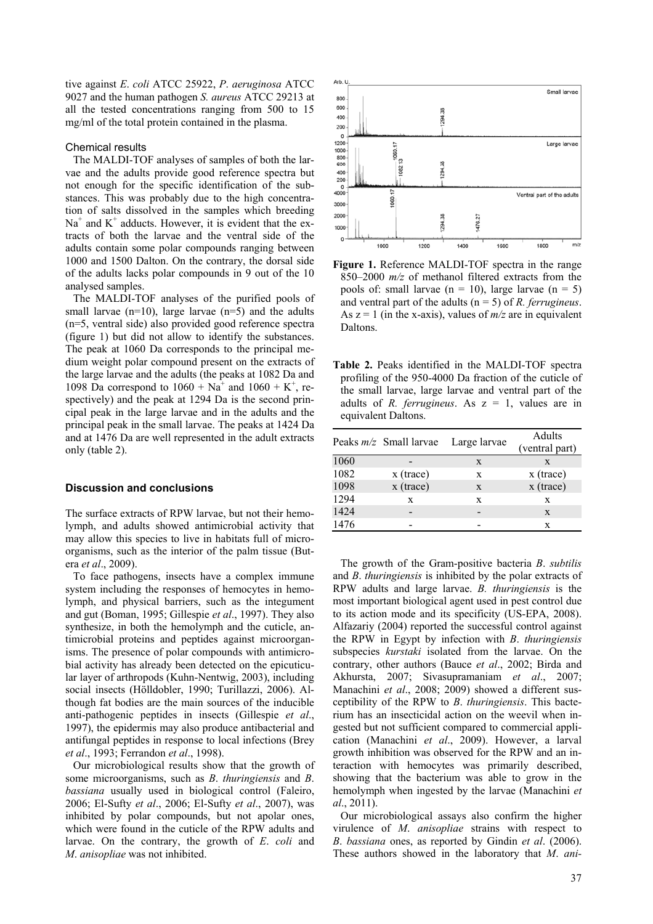tive against *E*. *coli* ATCC 25922, *P*. *aeruginosa* ATCC 9027 and the human pathogen *S. aureus* ATCC 29213 at all the tested concentrations ranging from 500 to 15 mg/ml of the total protein contained in the plasma.

#### Chemical results

The MALDI-TOF analyses of samples of both the larvae and the adults provide good reference spectra but not enough for the specific identification of the substances. This was probably due to the high concentration of salts dissolved in the samples which breeding  $Na<sup>+</sup>$  and  $K<sup>+</sup>$  adducts. However, it is evident that the extracts of both the larvae and the ventral side of the adults contain some polar compounds ranging between 1000 and 1500 Dalton. On the contrary, the dorsal side of the adults lacks polar compounds in 9 out of the 10 analysed samples.

The MALDI-TOF analyses of the purified pools of small larvae  $(n=10)$ , large larvae  $(n=5)$  and the adults (n=5, ventral side) also provided good reference spectra (figure 1) but did not allow to identify the substances. The peak at 1060 Da corresponds to the principal medium weight polar compound present on the extracts of the large larvae and the adults (the peaks at 1082 Da and 1098 Da correspond to  $1060 + Na^{+}$  and  $1060 + K^{+}$ , respectively) and the peak at 1294 Da is the second principal peak in the large larvae and in the adults and the principal peak in the small larvae. The peaks at 1424 Da and at 1476 Da are well represented in the adult extracts only (table 2).

#### **Discussion and conclusions**

The surface extracts of RPW larvae, but not their hemolymph, and adults showed antimicrobial activity that may allow this species to live in habitats full of microorganisms, such as the interior of the palm tissue (Butera *et al*., 2009).

To face pathogens, insects have a complex immune system including the responses of hemocytes in hemolymph, and physical barriers, such as the integument and gut (Boman, 1995; Gillespie *et al*., 1997). They also synthesize, in both the hemolymph and the cuticle, antimicrobial proteins and peptides against microorganisms. The presence of polar compounds with antimicrobial activity has already been detected on the epicuticular layer of arthropods (Kuhn-Nentwig, 2003), including social insects (Hölldobler, 1990; Turillazzi, 2006). Although fat bodies are the main sources of the inducible anti-pathogenic peptides in insects (Gillespie *et al*., 1997), the epidermis may also produce antibacterial and antifungal peptides in response to local infections (Brey *et al*., 1993; Ferrandon *et al*., 1998).

Our microbiological results show that the growth of some microorganisms, such as *B*. *thuringiensis* and *B*. *bassiana* usually used in biological control (Faleiro, 2006; El-Sufty *et al*., 2006; El-Sufty *et al*., 2007), was inhibited by polar compounds, but not apolar ones, which were found in the cuticle of the RPW adults and larvae. On the contrary, the growth of *E*. *coli* and *M*. *anisopliae* was not inhibited.



**Figure 1.** Reference MALDI-TOF spectra in the range 850–2000 *m/z* of methanol filtered extracts from the pools of: small larvae  $(n = 10)$ , large larvae  $(n = 5)$ and ventral part of the adults (n = 5) of *R. ferrugineus*. As  $z = 1$  (in the x-axis), values of  $m/z$  are in equivalent **Daltons** 

| Table 2. Peaks identified in the MALDI-TOF spectra      |
|---------------------------------------------------------|
| profiling of the 950-4000 Da fraction of the cuticle of |
| the small larvae, large larvae and ventral part of the  |
| adults of R. ferrugineus. As $z = 1$ , values are in    |
| equivalent Daltons.                                     |

|                                          | Adults         |
|------------------------------------------|----------------|
| Peaks $m/z$ Small larvae<br>Large larvae | (ventral part) |
| 1060<br>X<br>X                           |                |
| 1082<br>$x$ (trace)<br>X                 | $x$ (trace)    |
| 1098<br>x (trace)<br>X                   | x (trace)      |
| 1294<br>X<br>X<br>X                      |                |
| 1424                                     | X              |
| 1476                                     | X              |

The growth of the Gram-positive bacteria *B*. *subtilis* and *B*. *thuringiensis* is inhibited by the polar extracts of RPW adults and large larvae. *B. thuringiensis* is the most important biological agent used in pest control due to its action mode and its specificity (US-EPA, 2008). Alfazariy (2004) reported the successful control against the RPW in Egypt by infection with *B*. *thuringiensis* subspecies *kurstaki* isolated from the larvae. On the contrary, other authors (Bauce *et al*., 2002; Birda and Akhursta, 2007; Sivasupramaniam *et al*., 2007; Manachini *et al*., 2008; 2009) showed a different susceptibility of the RPW to *B*. *thuringiensis*. This bacterium has an insecticidal action on the weevil when ingested but not sufficient compared to commercial application (Manachini *et al*., 2009). However, a larval growth inhibition was observed for the RPW and an interaction with hemocytes was primarily described, showing that the bacterium was able to grow in the hemolymph when ingested by the larvae (Manachini *et al*., 2011).

Our microbiological assays also confirm the higher virulence of *M*. *anisopliae* strains with respect to *B*. *bassiana* ones, as reported by Gindin *et al*. (2006). These authors showed in the laboratory that *M*. *ani-*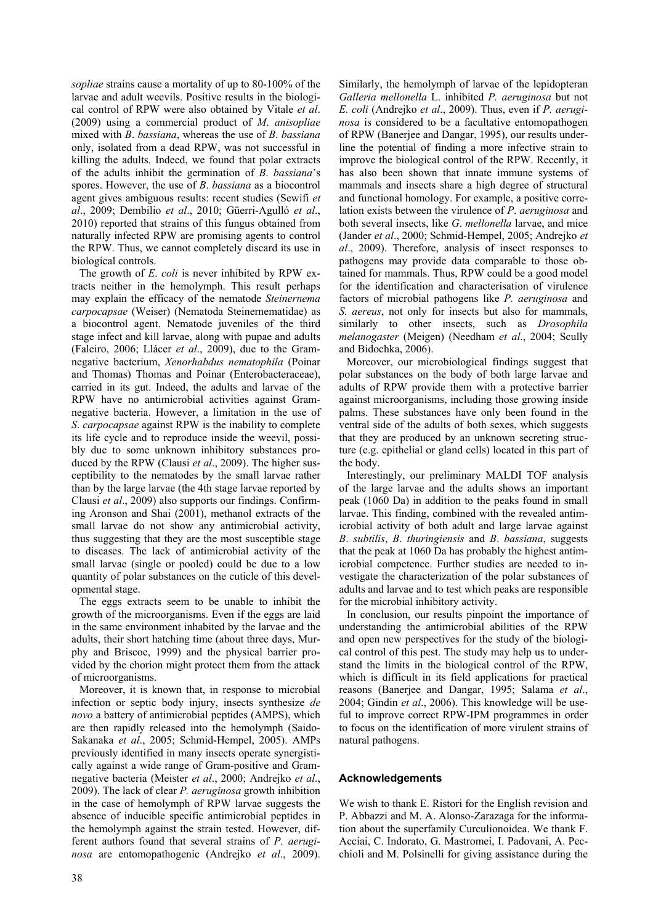*sopliae* strains cause a mortality of up to 80-100% of the larvae and adult weevils. Positive results in the biological control of RPW were also obtained by Vitale *et al*. (2009) using a commercial product of *M*. *anisopliae* mixed with *B*. *bassiana*, whereas the use of *B*. *bassiana* only, isolated from a dead RPW, was not successful in killing the adults. Indeed, we found that polar extracts of the adults inhibit the germination of *B*. *bassiana*'s spores. However, the use of *B*. *bassiana* as a biocontrol agent gives ambiguous results: recent studies (Sewifi *et al*., 2009; Dembilio *et al*., 2010; Güerri-Agulló *et al*., 2010) reported that strains of this fungus obtained from naturally infected RPW are promising agents to control the RPW. Thus, we cannot completely discard its use in biological controls.

The growth of *E*. *coli* is never inhibited by RPW extracts neither in the hemolymph. This result perhaps may explain the efficacy of the nematode *Steinernema carpocapsae* (Weiser) (Nematoda Steinernematidae) as a biocontrol agent. Nematode juveniles of the third stage infect and kill larvae, along with pupae and adults (Faleiro, 2006; Llácer *et al*., 2009), due to the Gramnegative bacterium, *Xenorhabdus nematophila* (Poinar and Thomas) Thomas and Poinar (Enterobacteraceae), carried in its gut. Indeed, the adults and larvae of the RPW have no antimicrobial activities against Gramnegative bacteria. However, a limitation in the use of *S*. *carpocapsae* against RPW is the inability to complete its life cycle and to reproduce inside the weevil, possibly due to some unknown inhibitory substances produced by the RPW (Clausi *et al*., 2009). The higher susceptibility to the nematodes by the small larvae rather than by the large larvae (the 4th stage larvae reported by Clausi *et al*., 2009) also supports our findings. Confirming Aronson and Shai (2001), methanol extracts of the small larvae do not show any antimicrobial activity, thus suggesting that they are the most susceptible stage to diseases. The lack of antimicrobial activity of the small larvae (single or pooled) could be due to a low quantity of polar substances on the cuticle of this developmental stage.

The eggs extracts seem to be unable to inhibit the growth of the microorganisms. Even if the eggs are laid in the same environment inhabited by the larvae and the adults, their short hatching time (about three days, Murphy and Briscoe, 1999) and the physical barrier provided by the chorion might protect them from the attack of microorganisms.

Moreover, it is known that, in response to microbial infection or septic body injury, insects synthesize *de novo* a battery of antimicrobial peptides (AMPS), which are then rapidly released into the hemolymph (Saido-Sakanaka *et al*., 2005; Schmid-Hempel, 2005). AMPs previously identified in many insects operate synergistically against a wide range of Gram-positive and Gramnegative bacteria (Meister *et al*., 2000; Andrejko *et al*., 2009). The lack of clear *P. aeruginosa* growth inhibition in the case of hemolymph of RPW larvae suggests the absence of inducible specific antimicrobial peptides in the hemolymph against the strain tested. However, different authors found that several strains of *P. aeruginosa* are entomopathogenic (Andrejko *et al*., 2009). Similarly, the hemolymph of larvae of the lepidopteran *Galleria mellonella* L. inhibited *P. aeruginosa* but not *E. coli* (Andrejko *et al*., 2009). Thus, even if *P. aeruginosa* is considered to be a facultative entomopathogen of RPW (Banerjee and Dangar, 1995), our results underline the potential of finding a more infective strain to improve the biological control of the RPW. Recently, it has also been shown that innate immune systems of mammals and insects share a high degree of structural and functional homology. For example, a positive correlation exists between the virulence of *P*. *aeruginosa* and both several insects, like *G*. *mellonella* larvae, and mice (Jander *et al*., 2000; Schmid-Hempel, 2005; Andrejko *et al*., 2009). Therefore, analysis of insect responses to pathogens may provide data comparable to those obtained for mammals. Thus, RPW could be a good model for the identification and characterisation of virulence factors of microbial pathogens like *P. aeruginosa* and *S. aereus*, not only for insects but also for mammals, similarly to other insects, such as *Drosophila melanogaster* (Meigen) (Needham *et al*., 2004; Scully and Bidochka, 2006).

Moreover, our microbiological findings suggest that polar substances on the body of both large larvae and adults of RPW provide them with a protective barrier against microorganisms, including those growing inside palms. These substances have only been found in the ventral side of the adults of both sexes, which suggests that they are produced by an unknown secreting structure (e.g. epithelial or gland cells) located in this part of the body.

Interestingly, our preliminary MALDI TOF analysis of the large larvae and the adults shows an important peak (1060 Da) in addition to the peaks found in small larvae. This finding, combined with the revealed antimicrobial activity of both adult and large larvae against *B*. *subtilis*, *B*. *thuringiensis* and *B*. *bassiana*, suggests that the peak at 1060 Da has probably the highest antimicrobial competence. Further studies are needed to investigate the characterization of the polar substances of adults and larvae and to test which peaks are responsible for the microbial inhibitory activity.

In conclusion, our results pinpoint the importance of understanding the antimicrobial abilities of the RPW and open new perspectives for the study of the biological control of this pest. The study may help us to understand the limits in the biological control of the RPW, which is difficult in its field applications for practical reasons (Banerjee and Dangar, 1995; Salama *et al*., 2004; Gindin *et al*., 2006). This knowledge will be useful to improve correct RPW-IPM programmes in order to focus on the identification of more virulent strains of natural pathogens.

## **Acknowledgements**

We wish to thank E. Ristori for the English revision and P. Abbazzi and M. A. Alonso-Zarazaga for the information about the superfamily Curculionoidea. We thank F. Acciai, C. Indorato, G. Mastromei, I. Padovani, A. Pecchioli and M. Polsinelli for giving assistance during the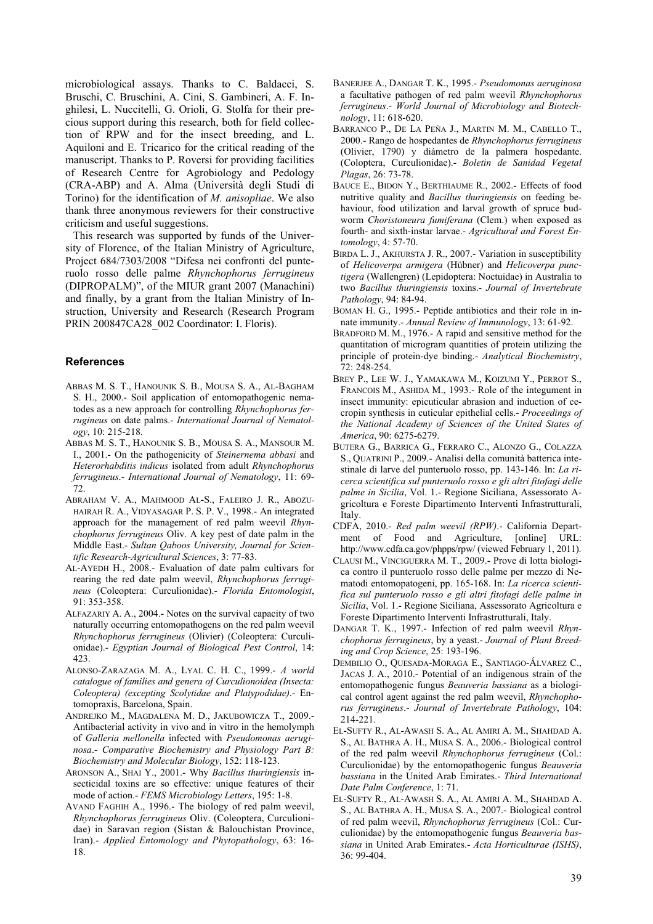microbiological assays. Thanks to C. Baldacci, S. Bruschi, C. Bruschini, A. Cini, S. Gambineri, A. F. Inghilesi, L. Nuccitelli, G. Orioli, G. Stolfa for their precious support during this research, both for field collection of RPW and for the insect breeding, and L. Aquiloni and E. Tricarico for the critical reading of the manuscript. Thanks to P. Roversi for providing facilities of Research Centre for Agrobiology and Pedology (CRA-ABP) and A. Alma (Università degli Studi di Torino) for the identification of *M. anisopliae*. We also thank three anonymous reviewers for their constructive criticism and useful suggestions.

This research was supported by funds of the University of Florence, of the Italian Ministry of Agriculture, Project 684/7303/2008 "Difesa nei confronti del punteruolo rosso delle palme *Rhynchophorus ferrugineus*  (DIPROPALM)", of the MIUR grant 2007 (Manachini) and finally, by a grant from the Italian Ministry of Instruction, University and Research (Research Program PRIN 200847CA28\_002 Coordinator: I. Floris).

#### **References**

- ABBAS M. S. T., HANOUNIK S. B., MOUSA S. A., AL-BAGHAM S. H., 2000.- Soil application of entomopathogenic nematodes as a new approach for controlling *Rhynchophorus ferrugineus* on date palms.- *International Journal of Nematology*, 10: 215-218.
- ABBAS M. S. T., HANOUNIK S. B., MOUSA S. A., MANSOUR M. I., 2001.- On the pathogenicity of *Steinernema abbasi* and *Heterorhabditis indicus* isolated from adult *Rhynchophorus ferrugineus*.- *International Journal of Nematology*, 11: 69- 72.
- ABRAHAM V. A., MAHMOOD AL-S., FALEIRO J. R., ABOZU-HAIRAH R. A., VIDYASAGAR P. S. P. V., 1998.- An integrated approach for the management of red palm weevil *Rhynchophorus ferrugineus* Oliv. A key pest of date palm in the Middle East.- *Sultan Qaboos University, Journal for Scientific Research-Agricultural Sciences*, 3: 77-83.
- AL-AYEDH H., 2008.- Evaluation of date palm cultivars for rearing the red date palm weevil, *Rhynchophorus ferrugineus* (Coleoptera: Curculionidae).- *Florida Entomologist*, 91: 353-358.
- ALFAZARIY A. A., 2004.- Notes on the survival capacity of two naturally occurring entomopathogens on the red palm weevil *Rhynchophorus ferrugineus* (Olivier) (Coleoptera: Curculionidae).- *Egyptian Journal of Biological Pest Control*, 14: 423.
- ALONSO-ZARAZAGA M. A., LYAL C. H. C., 1999.- *A world catalogue of families and genera of Curculionoidea (Insecta: Coleoptera) (excepting Scolytidae and Platypodidae)*.- Entomopraxis, Barcelona, Spain.
- ANDREJKO M., MAGDALENA M. D., JAKUBOWICZA T., 2009.- Antibacterial activity in vivo and in vitro in the hemolymph of *Galleria mellonella* infected with *Pseudomonas aeruginosa*.- *Comparative Biochemistry and Physiology Part B: Biochemistry and Molecular Biology*, 152: 118-123.
- ARONSON A., SHAI Y., 2001.- Why *Bacillus thuringiensis* insecticidal toxins are so effective: unique features of their mode of action.- *FEMS Microbiology Letters*, 195: 1-8.
- AVAND FAGHIH A., 1996.- The biology of red palm weevil, *Rhynchophorus ferrugineus* Oliv. (Coleoptera, Curculionidae) in Saravan region (Sistan & Balouchistan Province, Iran).- *Applied Entomology and Phytopathology*, 63: 16- 18.
- BANERJEE A., DANGAR T. K., 1995.- *Pseudomonas aeruginosa* a facultative pathogen of red palm weevil *Rhynchophorus ferrugineus*.- *World Journal of Microbiology and Biotechnology*, 11: 618-620.
- BARRANCO P., DE LA PEÑA J., MARTIN M. M., CABELLO T., 2000.- Rango de hospedantes de *Rhynchophorus ferrugineus* (Olivier, 1790) y diámetro de la palmera hospedante. (Coloptera, Curculionidae).- *Boletin de Sanidad Vegetal Plagas*, 26: 73-78.
- BAUCE E., BIDON Y., BERTHIAUME R., 2002.- Effects of food nutritive quality and *Bacillus thuringiensis* on feeding behaviour, food utilization and larval growth of spruce budworm *Choristoneura fumiferana* (Clem.) when exposed as fourth- and sixth-instar larvae.- *Agricultural and Forest Entomology*, 4: 57-70.
- BIRDA L. J., AKHURSTA J. R., 2007.- Variation in susceptibility of *Helicoverpa armigera* (Hübner) and *Helicoverpa punctigera* (Wallengren) (Lepidoptera: Noctuidae) in Australia to two *Bacillus thuringiensis* toxins.- *Journal of Invertebrate Pathology*, 94: 84-94.
- BOMAN H. G., 1995.- Peptide antibiotics and their role in innate immunity.- *Annual Review of Immunology*, 13: 61-92.
- BRADFORD M. M., 1976.- A rapid and sensitive method for the quantitation of microgram quantities of protein utilizing the principle of protein-dye binding.- *Analytical Biochemistry*, 72: 248-254.
- BREY P., LEE W. J., YAMAKAWA M., KOIZUMI Y., PERROT S., FRANCOIS M., ASHIDA M., 1993.- Role of the integument in insect immunity: epicuticular abrasion and induction of cecropin synthesis in cuticular epithelial cells.- *Proceedings of the National Academy of Sciences of the United States of America*, 90: 6275-6279.
- BUTERA G., BARRICA G., FERRARO C., ALONZO G., COLAZZA S., QUATRINI P., 2009.- Analisi della comunità batterica intestinale di larve del punteruolo rosso, pp. 143-146. In: *La ricerca scientifica sul punteruolo rosso e gli altri fitofagi delle palme in Sicilia*, Vol. 1.- Regione Siciliana, Assessorato Agricoltura e Foreste Dipartimento Interventi Infrastrutturali, Italy.
- CDFA, 2010.- *Red palm weevil (RPW)*.- California Department of Food and Agriculture, [online] URL: http://www.cdfa.ca.gov/phpps/rpw/ (viewed February 1, 2011).
- CLAUSI M., VINCIGUERRA M. T., 2009.- Prove di lotta biologica contro il punteruolo rosso delle palme per mezzo di Nematodi entomopatogeni, pp. 165-168. In: *La ricerca scientifica sul punteruolo rosso e gli altri fitofagi delle palme in Sicilia*, Vol. 1.- Regione Siciliana, Assessorato Agricoltura e Foreste Dipartimento Interventi Infrastrutturali, Italy.
- DANGAR T. K., 1997.- Infection of red palm weevil *Rhynchophorus ferrugineus*, by a yeast.- *Journal of Plant Breeding and Crop Science*, 25: 193-196.
- DEMBILIO O., QUESADA-MORAGA E., SANTIAGO-ÁLVAREZ C., JACAS J. A., 2010.- Potential of an indigenous strain of the entomopathogenic fungus *Beauveria bassiana* as a biological control agent against the red palm weevil, *Rhynchophorus ferrugineus*.- *Journal of Invertebrate Pathology*, 104: 214-221.
- EL-SUFTY R., AL-AWASH S. A., AL AMIRI A. M., SHAHDAD A. S., AL BATHRA A. H., MUSA S. A., 2006.- Biological control of the red palm weevil *Rhynchophorus ferrugineus* (Col.: Curculionidae) by the entomopathogenic fungus *Beauveria bassiana* in the United Arab Emirates.- *Third International Date Palm Conference*, 1: 71.
- EL-SUFTY R., AL-AWASH S. A., AL AMIRI A. M., SHAHDAD A. S., AL BATHRA A. H., MUSA S. A., 2007.- Biological control of red palm weevil, *Rhynchophorus ferrugineus* (Col.: Curculionidae) by the entomopathogenic fungus *Beauveria bassiana* in United Arab Emirates.- *Acta Horticulturae (ISHS)*, 36: 99-404.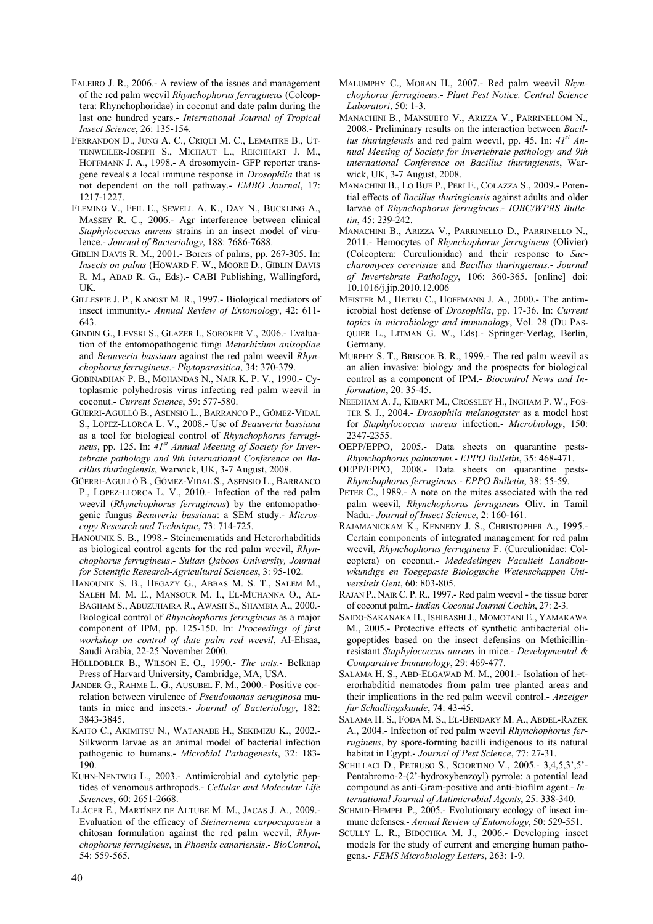- FALEIRO J. R., 2006.- A review of the issues and management of the red palm weevil *Rhynchophorus ferrugineus* (Coleoptera: Rhynchophoridae) in coconut and date palm during the last one hundred years.- *International Journal of Tropical Insect Science*, 26: 135-154.
- FERRANDON D., JUNG A. C., CRIQUI M. C., LEMAITRE B., UT-TENWEILER-JOSEPH S., MICHAUT L., REICHHART J. M., HOFFMANN J. A., 1998.- A drosomycin- GFP reporter transgene reveals a local immune response in *Drosophila* that is not dependent on the toll pathway.- *EMBO Journal*, 17: 1217-1227.
- FLEMING V., FEIL E., SEWELL A. K., DAY N., BUCKLING A., MASSEY R. C., 2006.- Agr interference between clinical *Staphylococcus aureus* strains in an insect model of virulence.- *Journal of Bacteriology*, 188: 7686-7688.
- GIBLIN DAVIS R. M., 2001.- Borers of palms, pp. 267-305. In: *Insects on palms* (HOWARD F. W., MOORE D., GIBLIN DAVIS R. M., ABAD R. G., Eds).- CABI Publishing, Wallingford, UK.
- GILLESPIE J. P., KANOST M. R., 1997.- Biological mediators of insect immunity.- *Annual Review of Entomology*, 42: 611- 643.
- GINDIN G., LEVSKI S., GLAZER I., SOROKER V., 2006.- Evaluation of the entomopathogenic fungi *Metarhizium anisopliae* and *Beauveria bassiana* against the red palm weevil *Rhynchophorus ferrugineus*.- *Phytoparasitica*, 34: 370-379.
- GOBINADHAN P. B., MOHANDAS N., NAIR K. P. V., 1990.- Cytoplasmic polyhedrosis virus infecting red palm weevil in coconut.- *Current Science*, 59: 577-580.
- GÜERRI-AGULLÓ B., ASENSIO L., BARRANCO P., GÓMEZ-VIDAL S., LOPEZ-LLORCA L. V., 2008.- Use of *Beauveria bassiana* as a tool for biological control of *Rhynchophorus ferrugineus*, pp. 125. In: *41st Annual Meeting of Society for Invertebrate pathology and 9th international Conference on Bacillus thuringiensis*, Warwick, UK, 3-7 August, 2008.
- GÜERRI-AGULLÓ B., GÓMEZ-VIDAL S., ASENSIO L., BARRANCO P., LOPEZ-LLORCA L. V., 2010.- Infection of the red palm weevil (*Rhynchophorus ferrugineus*) by the entomopathogenic fungus *Beauveria bassiana*: a SEM study.- *Microscopy Research and Technique*, 73: 714-725.
- HANOUNIK S. B., 1998.- Steinemematids and Heterorhabditids as biological control agents for the red palm weevil, *Rhynchophorus ferrugineus*.- *Sultan Qaboos University, Journal for Scientific Research-Agricultural Sciences*, 3: 95-102.
- HANOUNIK S. B., HEGAZY G., ABBAS M. S. T., SALEM M., SALEH M. M. E., MANSOUR M. I., EL-MUHANNA O., AL-BAGHAM S., ABUZUHAIRA R., AWASH S., SHAMBIA A., 2000.- Biological control of *Rhynchophorus ferrugineus* as a major component of IPM, pp. 125-150. In: *Proceedings of first workshop on control of date palm red weevil*, AI-Ehsaa, Saudi Arabia, 22-25 November 2000.
- HÖLLDOBLER B., WILSON E. O., 1990.- *The ants*.- Belknap Press of Harvard University, Cambridge, MA, USA.
- JANDER G., RAHME L. G., AUSUBEL F. M., 2000.- Positive correlation between virulence of *Pseudomonas aeruginosa* mutants in mice and insects.- *Journal of Bacteriology*, 182: 3843-3845.
- KAITO C., AKIMITSU N., WATANABE H., SEKIMIZU K., 2002.- Silkworm larvae as an animal model of bacterial infection pathogenic to humans.- *Microbial Pathogenesis*, 32: 183- 190.
- KUHN-NENTWIG L., 2003.- Antimicrobial and cytolytic peptides of venomous arthropods.- *Cellular and Molecular Life Sciences*, 60: 2651-2668.
- LLÁCER E., MARTÍNEZ DE ALTUBE M. M., JACAS J. A., 2009.- Evaluation of the efficacy of *Steinernema carpocapsaein* a chitosan formulation against the red palm weevil, *Rhynchophorus ferrugineus*, in *Phoenix canariensis*.- *BioControl*, 54: 559-565.
- MALUMPHY C., MORAN H., 2007.- Red palm weevil *Rhynchophorus ferrugineus*.- *Plant Pest Notice, Central Science Laboratori*, 50: 1-3.
- MANACHINI B., MANSUETO V., ARIZZA V., PARRINELLOM N., 2008.- Preliminary results on the interaction between *Bacillus thuringiensis* and red palm weevil, pp. 45. In: *41st Annual Meeting of Society for Invertebrate pathology and 9th international Conference on Bacillus thuringiensis*, Warwick, UK, 3-7 August, 2008.
- MANACHINI B., LO BUE P., PERI E., COLAZZA S., 2009.- Potential effects of *Bacillus thuringiensis* against adults and older larvae of *Rhynchophorus ferrugineus*.- *IOBC/WPRS Bulletin*, 45: 239-242.
- MANACHINI B., ARIZZA V., PARRINELLO D., PARRINELLO N., 2011.- Hemocytes of *Rhynchophorus ferrugineus* (Olivier) (Coleoptera: Curculionidae) and their response to *Saccharomyces cerevisiae* and *Bacillus thuringiensis.*- *Journal of Invertebrate Pathology*, 106: 360-365. [online] doi: 10.1016/j.jip.2010.12.006
- MEISTER M., HETRU C., HOFFMANN J. A., 2000.- The antimicrobial host defense of *Drosophila*, pp. 17-36. In: *Current topics in microbiology and immunology*, Vol. 28 (DU PAS-QUIER L., LITMAN G. W., Eds).- Springer-Verlag, Berlin, Germany.
- MURPHY S. T., BRISCOE B. R., 1999.- The red palm weevil as an alien invasive: biology and the prospects for biological control as a component of IPM.- *Biocontrol News and Information*, 20: 35-45.
- NEEDHAM A. J., KIBART M., CROSSLEY H., INGHAM P. W., FOS-TER S. J., 2004.- *Drosophila melanogaster* as a model host for *Staphylococcus aureus* infection.- *Microbiology*, 150: 2347-2355.
- OEPP/EPPO, 2005.- Data sheets on quarantine pests-*Rhynchophorus palmarum*.- *EPPO Bulletin*, 35: 468-471.
- OEPP/EPPO, 2008.- Data sheets on quarantine pests-*Rhynchophorus ferrugineus*.- *EPPO Bulletin*, 38: 55-59.
- PETER C., 1989.- A note on the mites associated with the red palm weevil, *Rhynchophorus ferrugineus* Oliv. in Tamil Nadu.- *Journal of Insect Science*, 2: 160-161.
- RAJAMANICKAM K., KENNEDY J. S., CHRISTOPHER A., 1995.- Certain components of integrated management for red palm weevil, *Rhynchophorus ferrugineus* F. (Curculionidae: Coleoptera) on coconut.- *Mededelingen Faculteit Landbouwkundige en Toegepaste Biologische Wetenschappen Universiteit Gent*, 60: 803-805.
- RAJAN P., NAIR C. P. R., 1997.- Red palm weevil the tissue borer of coconut palm.- *Indian Coconut Journal Cochin*, 27: 2-3.
- SAIDO-SAKANAKA H., ISHIBASHI J., MOMOTANI E., YAMAKAWA M., 2005.- Protective effects of synthetic antibacterial oligopeptides based on the insect defensins on Methicillinresistant *Staphylococcus aureus* in mice.- *Developmental & Comparative Immunology*, 29: 469-477.
- SALAMA H. S., ABD-ELGAWAD M. M., 2001.- Isolation of heterorhabditid nematodes from palm tree planted areas and their implications in the red palm weevil control.- *Anzeiger fur Schadlingskunde*, 74: 43-45.
- SALAMA H. S., FODA M. S., EL-BENDARY M. A., ABDEL-RAZEK A., 2004.- Infection of red palm weevil *Rhynchophorus ferrugineus*, by spore-forming bacilli indigenous to its natural habitat in Egypt.- *Journal of Pest Science*, 77: 27-31.
- SCHILLACI D., PETRUSO S., SCIORTINO V., 2005.- 3,4,5,3',5'- Pentabromo-2-(2'-hydroxybenzoyl) pyrrole: a potential lead compound as anti-Gram-positive and anti-biofilm agent.- *International Journal of Antimicrobial Agents*, 25: 338-340.
- SCHMID-HEMPEL P., 2005.- Evolutionary ecology of insect immune defenses.- *Annual Review of Entomology*, 50: 529-551.
- SCULLY L. R., BIDOCHKA M. J., 2006.- Developing insect models for the study of current and emerging human pathogens.- *FEMS Microbiology Letters*, 263: 1-9.